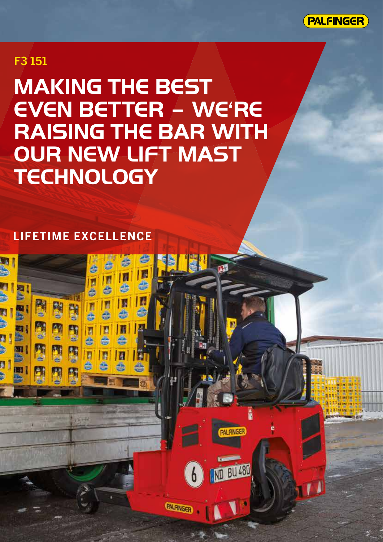

## F3 151

四

a<br>M

g

**MT** 

m

State State

**E** 

Ą

ŋ

ŋ

**MAKING THE BEST EVEN BETTER – WE'RE RAISING THE BAR WITH OUR NEW LIFT MAST TECHNOLOGY**

國

書

ь

D

ê

**PAL FINGER** 

**ND BU 480** 

b

PALFINGER

T

A

E

П

n

### **LIFETIME EXCELLENCE**

图图

**NH** 

團

D

A

B

III

■

日告

n

同步

E

E

ė

厲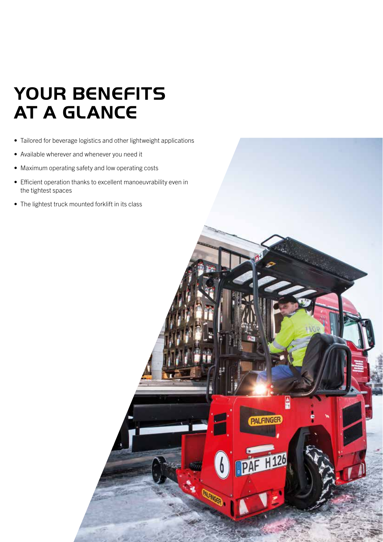# **YOUR BENEFITS AT A GLANCE**

- Tailored for beverage logistics and other lightweight applications
- Available wherever and whenever you need it
- Maximum operating safety and low operating costs
- Efficient operation thanks to excellent manoeuvrability even in the tightest spaces

ė

**PALFINGER** 

**PAF H126** 

• The lightest truck mounted forklift in its class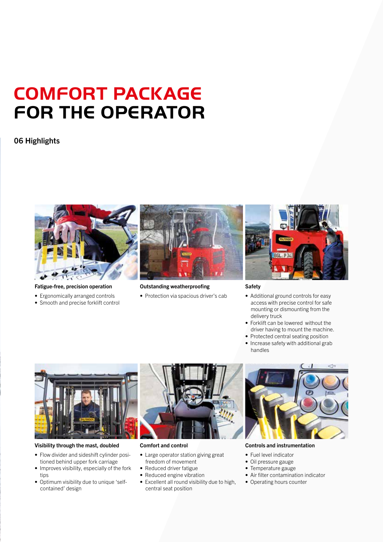# **COMFORT PACKAGE FOR THE OPERATOR**

### 06 Highlights



Fatigue-free, precision operation

- Ergonomically arranged controls
- Smooth and precise forklift control



Outstanding weatherproofing

• Protection via spacious driver's cab



Safety

- Additional ground controls for easy access with precise control for safe mounting or dismounting from the delivery truck
- Forklift can be lowered without the driver having to mount the machine.
- Protected central seating position
- Increase safety with additional grab handles



#### Visibility through the mast, doubled

- Flow divider and sideshift cylinder positioned behind upper fork carriage
- Improves visibility, especially of the fork tips
- Optimum visibility due to unique 'selfcontained' design



#### Comfort and control

- Large operator station giving great freedom of movement
- Reduced driver fatigue
- Reduced engine vibration
- Excellent all round visibility due to high, central seat position



Controls and instrumentation

- Fuel level indicator
- Oil pressure gauge
- Temperature gauge
- Air filter contamination indicator
- Operating hours counter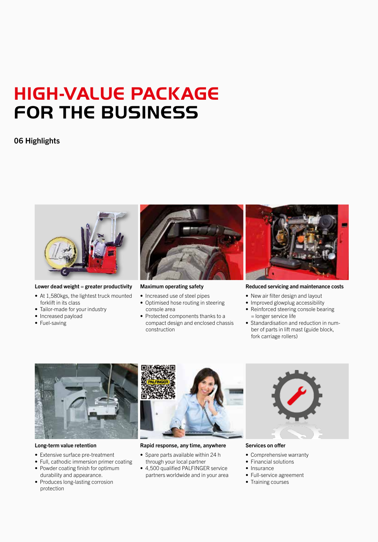# **HIGH-VALUE PACKAGE FOR THE BUSINESS**

### 06 Highlights



#### Lower dead weight  $=$  greater productivity

- At 1,580kgs, the lightest truck mounted forklift in its class
- Tailor-made for your industry
- Increased payload
- Fuel-saving



#### Maximum operating safety

- Increased use of steel pipes
- Optimised hose routing in steering console area
- Protected components thanks to a compact design and enclosed chassis construction



#### Reduced servicing and maintenance costs

- New air filter design and layout
- Improved glowplug accessibility
- Reinforced steering console bearing = longer service life
- Standardisation and reduction in number of parts in lift mast (guide block, fork carriage rollers)



#### Long-term value retention

- Extensive surface pre-treatment
- Full, cathodic immersion primer coating
- Powder coating finish for optimum durability and appearance.
- Produces long-lasting corrosion protection



#### Rapid response, any time, anywhere

- Spare parts available within 24 h through your local partner
- 4,500 qualified PALFINGER service partners worldwide and in your area



Services on offer

- Comprehensive warranty
- Financial solutions
- Insurance
- Full-service agreement
- Training courses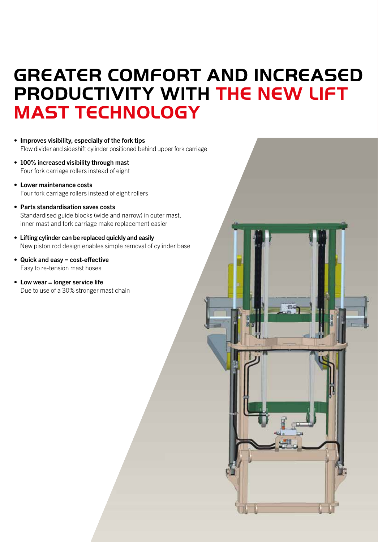## **GREATER COMFORT AND INCREASED PRODUCTIVITY WITH THE NEW LIFT MAST TECHNOLOGY**

- Improves visibility, especially of the fork tips Flow divider and sideshift cylinder positioned behind upper fork carriage
- 100% increased visibility through mast Four fork carriage rollers instead of eight
- Lower maintenance costs Four fork carriage rollers instead of eight rollers
- Parts standardisation saves costs Standardised guide blocks (wide and narrow) in outer mast, inner mast and fork carriage make replacement easier
- Lifting cylinder can be replaced quickly and easily New piston rod design enables simple removal of cylinder base
- Quick and easy  $=$  cost-effective Easy to re-tension mast hoses
- $\bullet$  Low wear = longer service life Due to use of a 30% stronger mast chain